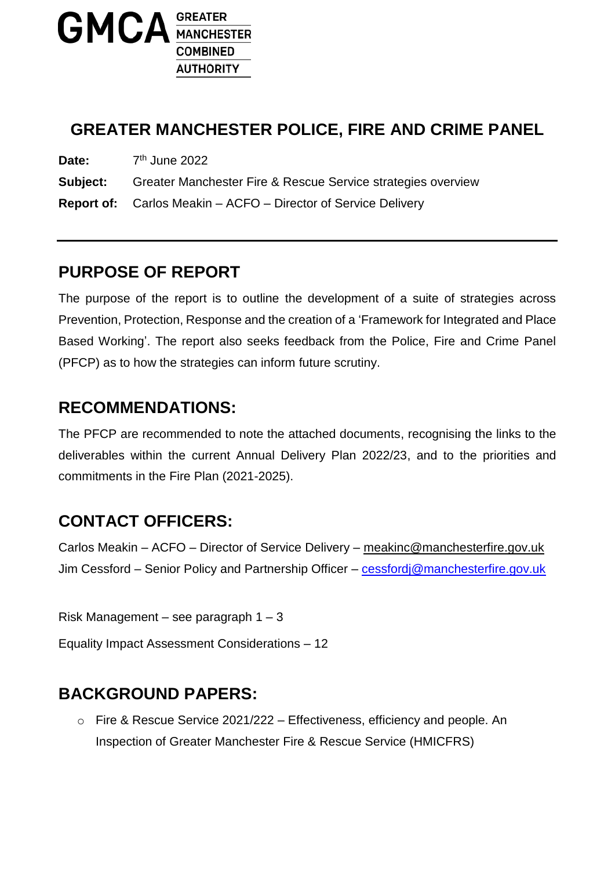

# **GREATER MANCHESTER POLICE, FIRE AND CRIME PANEL**

Date:  $7<sup>th</sup>$  June 2022

**Subject:** Greater Manchester Fire & Rescue Service strategies overview

**Report of:** Carlos Meakin – ACFO – Director of Service Delivery

## **PURPOSE OF REPORT**

The purpose of the report is to outline the development of a suite of strategies across Prevention, Protection, Response and the creation of a 'Framework for Integrated and Place Based Working'. The report also seeks feedback from the Police, Fire and Crime Panel (PFCP) as to how the strategies can inform future scrutiny.

#### **RECOMMENDATIONS:**

The PFCP are recommended to note the attached documents, recognising the links to the deliverables within the current Annual Delivery Plan 2022/23, and to the priorities and commitments in the Fire Plan (2021-2025).

# **CONTACT OFFICERS:**

Carlos Meakin – ACFO – Director of Service Delivery – [meakinc@manchesterfire.gov.uk](mailto:meakinc@manchesterfire.gov.uk) Jim Cessford – Senior Policy and Partnership Officer – [cessfordj@manchesterfire.gov.uk](mailto:cessfordj@manchesterfire.gov.uk)

Risk Management – see paragraph 1 – 3

Equality Impact Assessment Considerations – 12

#### **BACKGROUND PAPERS:**

o Fire & Rescue Service 2021/222 – Effectiveness, efficiency and people. An Inspection of Greater Manchester Fire & Rescue Service (HMICFRS)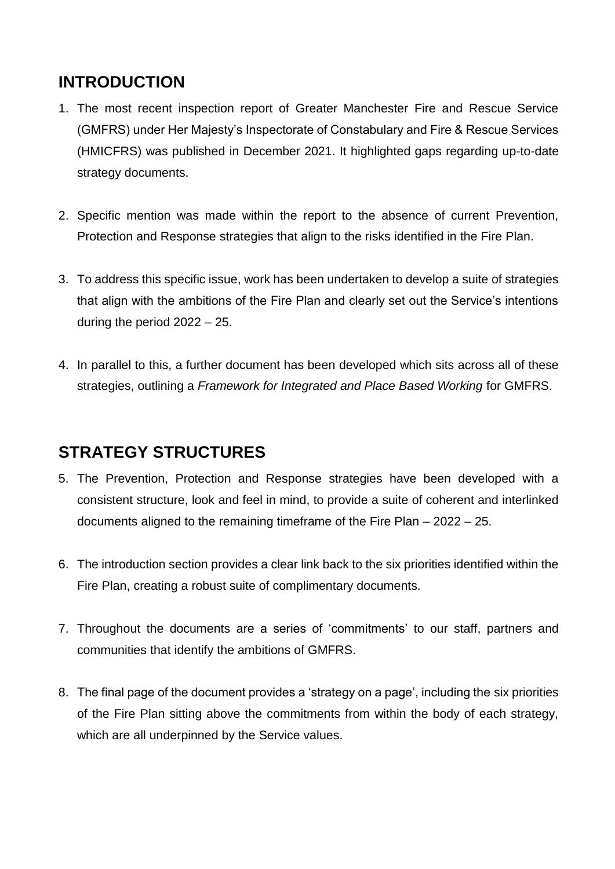## **INTRODUCTION**

- 1. The most recent inspection report of Greater Manchester Fire and Rescue Service (GMFRS) under Her Majesty's Inspectorate of Constabulary and Fire & Rescue Services (HMICFRS) was published in December 2021. It highlighted gaps regarding up-to-date strategy documents.
- 2. Specific mention was made within the report to the absence of current Prevention, Protection and Response strategies that align to the risks identified in the Fire Plan.
- 3. To address this specific issue, work has been undertaken to develop a suite of strategies that align with the ambitions of the Fire Plan and clearly set out the Service's intentions during the period 2022 – 25.
- 4. In parallel to this, a further document has been developed which sits across all of these strategies, outlining a *Framework for Integrated and Place Based Working* for GMFRS.

## **STRATEGY STRUCTURES**

- 5. The Prevention, Protection and Response strategies have been developed with a consistent structure, look and feel in mind, to provide a suite of coherent and interlinked documents aligned to the remaining timeframe of the Fire Plan – 2022 – 25.
- 6. The introduction section provides a clear link back to the six priorities identified within the Fire Plan, creating a robust suite of complimentary documents.
- 7. Throughout the documents are a series of 'commitments' to our staff, partners and communities that identify the ambitions of GMFRS.
- 8. The final page of the document provides a 'strategy on a page', including the six priorities of the Fire Plan sitting above the commitments from within the body of each strategy, which are all underpinned by the Service values.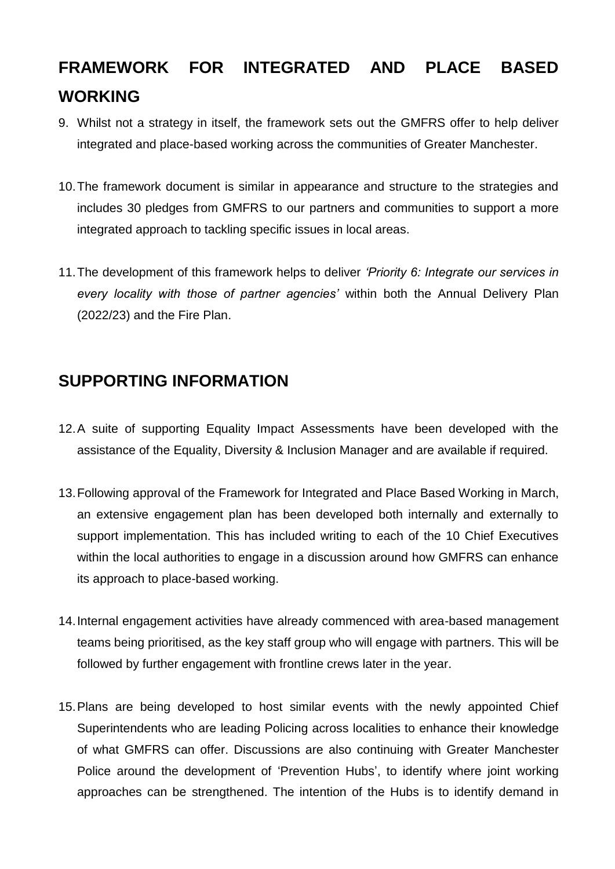# **FRAMEWORK FOR INTEGRATED AND PLACE BASED WORKING**

- 9. Whilst not a strategy in itself, the framework sets out the GMFRS offer to help deliver integrated and place-based working across the communities of Greater Manchester.
- 10.The framework document is similar in appearance and structure to the strategies and includes 30 pledges from GMFRS to our partners and communities to support a more integrated approach to tackling specific issues in local areas.
- 11.The development of this framework helps to deliver *'Priority 6: Integrate our services in every locality with those of partner agencies'* within both the Annual Delivery Plan (2022/23) and the Fire Plan.

## **SUPPORTING INFORMATION**

- 12.A suite of supporting Equality Impact Assessments have been developed with the assistance of the Equality, Diversity & Inclusion Manager and are available if required.
- 13.Following approval of the Framework for Integrated and Place Based Working in March, an extensive engagement plan has been developed both internally and externally to support implementation. This has included writing to each of the 10 Chief Executives within the local authorities to engage in a discussion around how GMFRS can enhance its approach to place-based working.
- 14.Internal engagement activities have already commenced with area-based management teams being prioritised, as the key staff group who will engage with partners. This will be followed by further engagement with frontline crews later in the year.
- 15.Plans are being developed to host similar events with the newly appointed Chief Superintendents who are leading Policing across localities to enhance their knowledge of what GMFRS can offer. Discussions are also continuing with Greater Manchester Police around the development of 'Prevention Hubs', to identify where joint working approaches can be strengthened. The intention of the Hubs is to identify demand in